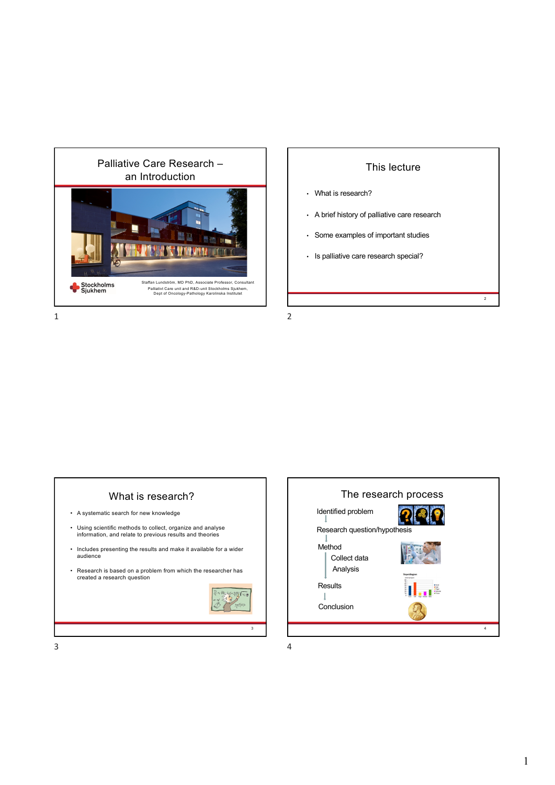

#### This lecture

2

- What is research?
- A brief history of palliative care research
- Some examples of important studies
- Is palliative care research special?



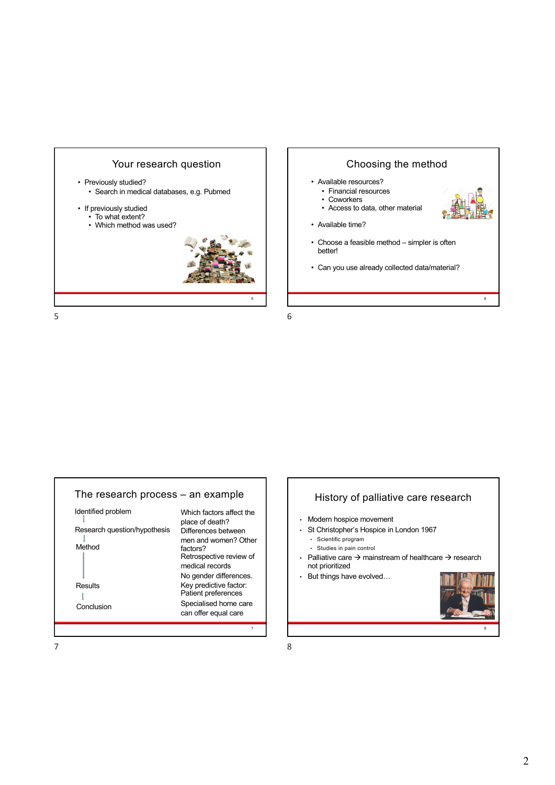



5



# History of palliative care research

- Modern hospice movement
- St Christopher's Hospice in London 1967
	- Scientific program
	- Studies in pain control
- Palliative care  $\rightarrow$  mainstream of healthcare  $\rightarrow$  research not prioritized
- But things have evolved…



8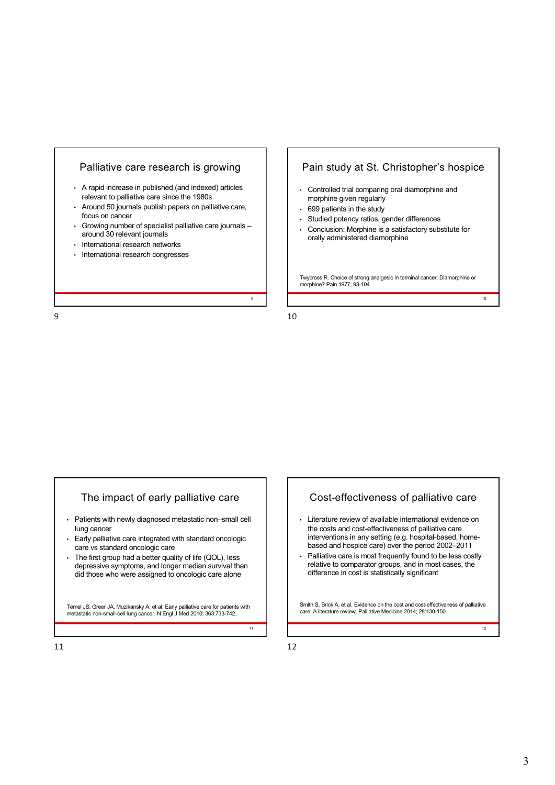



10

## The impact of early palliative care

- Patients with newly diagnosed metastatic non–small cell lung cancer
- Early palliative care integrated with standard oncologic care vs standard oncologic care
- The first group had a better quality of life (QOL), less depressive symptoms, and longer median survival than did those who were assigned to oncologic care alone

Temel JS, Greer JA, Muzikansky A, et al. Early palliative care for patients with metastatic non-small-cell lung cancer. N Engl J Med 2010; 363:733-742.

#### Cost-effectiveness of palliative care

- Literature review of available international evidence on the costs and cost-effectiveness of palliative care interventions in any setting (e.g. hospital-based, homebased and hospice care) over the period 2002–2011
- Palliative care is most frequently found to be less costly relative to comparator groups, and in most cases, the difference in cost is statistically significant

Smith S, Brick A, et al. Evidence on the cost and cost-effectiveness of palliative care: A literature review. Palliative Medicine 2014; 28:130-150.

11

11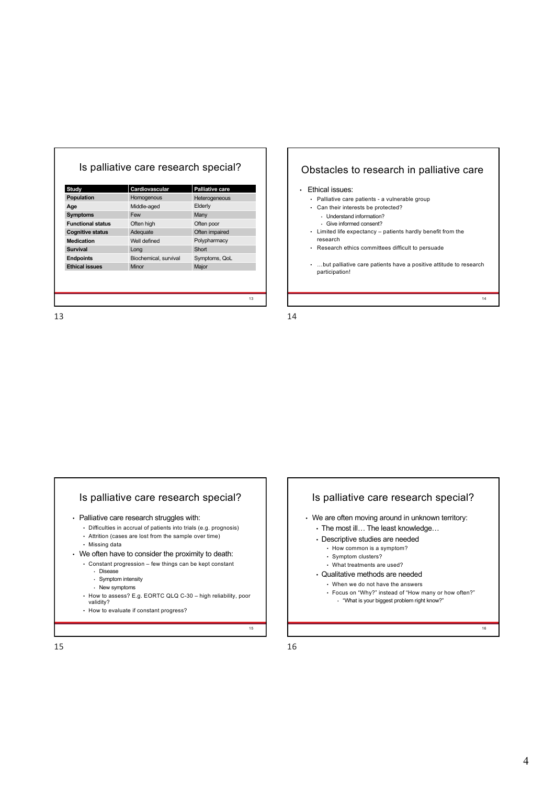| Study                    | Cardiovascular        | <b>Palliative care</b> |
|--------------------------|-----------------------|------------------------|
| Population               | Homogenous            | Heterogeneous          |
| Age                      | Middle-aged           | Elderly                |
| <b>Symptoms</b>          | Few                   | Many                   |
| <b>Functional status</b> | Often high            | Often poor             |
| <b>Cognitive status</b>  | Adequate              | Often impaired         |
| <b>Medication</b>        | Well defined          | Polypharmacy           |
| <b>Survival</b>          | Long                  | Short                  |
| <b>Endpoints</b>         | Biochemical, survival | Symptoms, QoL          |
| <b>Ethical issues</b>    | Minor                 | Major                  |
|                          |                       |                        |
|                          |                       |                        |
|                          |                       |                        |

### Obstacles to research in palliative care

#### • Ethical issues:

- Palliative care patients a vulnerable group
- Can their interests be protected?
	- Understand information?
	- Give informed consent?
- Limited life expectancy patients hardly benefit from the research
- Research ethics committees difficult to persuade
- …but palliative care patients have a positive attitude to research participation!

14

14